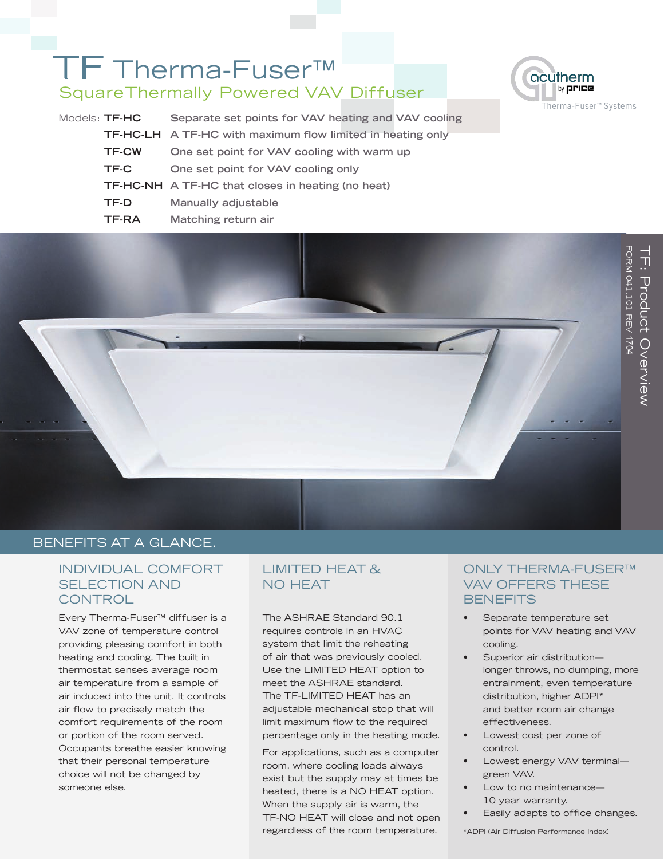# TF Therma-Fuser<sup>™</sup> SquareThermally Powered VAV Diffuser







# BENEFITS AT A GLANCE.

# INDIVIDUAL COMFORT SELECTION AND **CONTROL**

Every Therma-Fuser™ diffuser is a VAV zone of temperature control providing pleasing comfort in both heating and cooling. The built in thermostat senses average room air temperature from a sample of air induced into the unit. It controls air flow to precisely match the comfort requirements of the room or portion of the room served. Occupants breathe easier knowing that their personal temperature choice will not be changed by someone else.

# LIMITED HEAT & NO HEAT

The ASHRAE Standard 90.1 requires controls in an HVAC system that limit the reheating of air that was previously cooled. Use the LIMITED HEAT option to meet the ASHRAE standard. The TF-LIMITED HEAT has an adjustable mechanical stop that will limit maximum flow to the required percentage only in the heating mode.

For applications, such as a computer room, where cooling loads always exist but the supply may at times be heated, there is a NO HEAT option. When the supply air is warm, the TF-NO HEAT will close and not open regardless of the room temperature.

## ONLY THERMA-FUSER™ VAV OFFERS THESE **BENEFITS**

- Separate temperature set points for VAV heating and VAV cooling.
- Superior air distributionlonger throws, no dumping, more entrainment, even temperature distribution, higher ADPI\* and better room air change effectiveness.
- Lowest cost per zone of control.
- Lowest energy VAV terminal green VAV.
- Low to no maintenance-10 year warranty.
- Easily adapts to office changes.

\*ADPI (Air Diffusion Performance Index)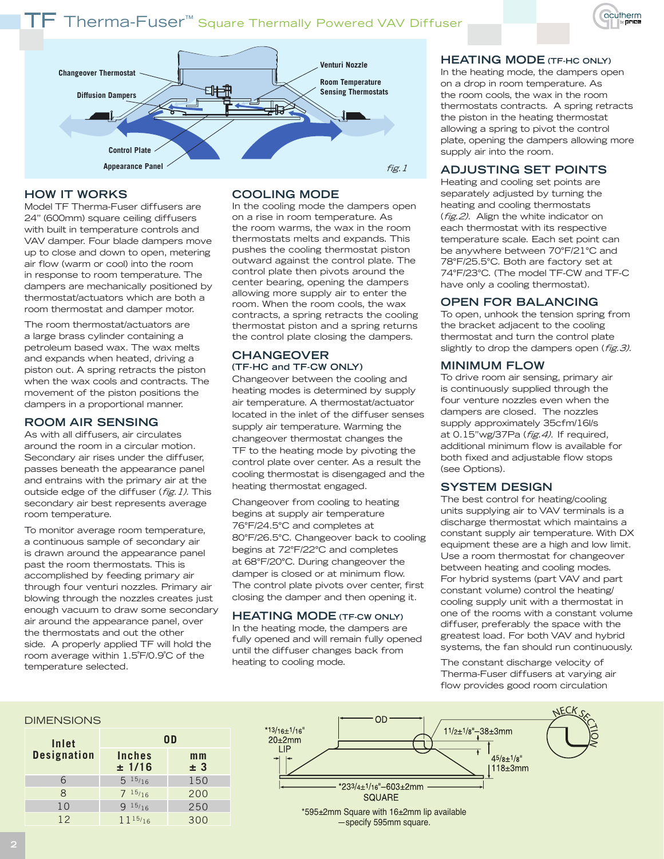



#### **HOW IT WORKS**

Model TF Therma-Fuser diffusers are 24" (600mm) square ceiling diffusers with built in temperature controls and VAV damper. Four blade dampers move up to close and down to open, metering air flow (warm or cool) into the room in response to room temperature. The dampers are mechanically positioned by thermostat/actuators which are both a room thermostat and damper motor.

The room thermostat/actuators are a large brass cylinder containing a petroleum based wax. The wax melts and expands when heated, driving a piston out. A spring retracts the piston when the wax cools and contracts. The movement of the piston positions the dampers in a proportional manner.

#### **ROOM AIR SENSING**

As with all diffusers, air circulates around the room in a circular motion. Secondary air rises under the diffuser, passes beneath the appearance panel and entrains with the primary air at the outside edge of the diffuser (*fig. 1)*. This secondary air best represents average room temperature.

To monitor average room temperature, a continuous sample of secondary air is drawn around the appearance panel past the room thermostats. This is accomplished by feeding primary air through four venturi nozzles. Primary air blowing through the nozzles creates just enough vacuum to draw some secondary air around the appearance panel, over the thermostats and out the other side. A properly applied TF will hold the room average within 1.5˚F/0.9˚C of the temperature selected.

### **COOLING MODE**

In the cooling mode the dampers open on a rise in room temperature. As the room warms, the wax in the room thermostats melts and expands. This pushes the cooling thermostat piston outward against the control plate. The control plate then pivots around the center bearing, opening the dampers allowing more supply air to enter the room. When the room cools, the wax contracts, a spring retracts the cooling thermostat piston and a spring returns the control plate closing the dampers.

#### **CHANGEOVER (TF-HC and TF-CW ONLY)**

Changeover between the cooling and heating modes is determined by supply air temperature. A thermostat/actuator located in the inlet of the diffuser senses supply air temperature. Warming the changeover thermostat changes the TF to the heating mode by pivoting the control plate over center. As a result the cooling thermostat is disengaged and the heating thermostat engaged.

Changeover from cooling to heating begins at supply air temperature 76°F/24.5°C and completes at 80°F/26.5°C. Changeover back to cooling begins at 72°F/22°C and completes at 68°F/20°C. During changeover the damper is closed or at minimum flow. The control plate pivots over center, first closing the damper and then opening it.

#### **HEATING MODE (TF-CW ONLY)**

In the heating mode, the dampers are fully opened and will remain fully opened until the diffuser changes back from heating to cooling mode.

#### **HEATING MODE (TF-HC ONLY)**

In the heating mode, the dampers open on a drop in room temperature. As the room cools, the wax in the room thermostats contracts. A spring retracts the piston in the heating thermostat allowing a spring to pivot the control plate, opening the dampers allowing more supply air into the room.

#### **ADJUSTING SET POINTS**

Heating and cooling set points are separately adjusted by turning the heating and cooling thermostats (*fig.2)*. Align the white indicator on each thermostat with its respective temperature scale. Each set point can be anywhere between 70°F/21°C and 78°F/25.5°C. Both are factory set at 74°F/23°C. (The model TF-CW and TF-C have only a cooling thermostat).

#### **OPEN FOR BALANCING**

To open, unhook the tension spring from the bracket adjacent to the cooling thermostat and turn the control plate slightly to drop the dampers open (*fig. 3)*.

#### **MINIMUM FLOW**

To drive room air sensing, primary air is continuously supplied through the four venture nozzles even when the dampers are closed. The nozzles supply approximately 35cfm/16l/s at 0.15"wg/37Pa (fig. 4). If required, additional minimum flow is available for both fixed and adjustable flow stops (see Options).

#### **SYSTEM DESIGN**

The best control for heating/cooling units supplying air to VAV terminals is a discharge thermostat which maintains a constant supply air temperature. With DX equipment these are a high and low limit. Use a room thermostat for changeover between heating and cooling modes. For hybrid systems (part VAV and part constant volume) control the heating/ cooling supply unit with a thermostat in one of the rooms with a constant volume diffuser, preferably the space with the greatest load. For both VAV and hybrid systems, the fan should run continuously.

The constant discharge velocity of Therma-Fuser diffusers at varying air flow provides good room circulation

#### DIMENSIONS

| Inlet<br><b>Designation</b> | 0 D                     |                       |  |
|-----------------------------|-------------------------|-----------------------|--|
|                             | <b>Inches</b><br>± 1/16 | m <sub>m</sub><br>± 3 |  |
| 6                           | $5^{15/16}$             | 150                   |  |
| 8                           | $7^{15/16}$             | 200                   |  |
| 10                          | 915/16                  | 250                   |  |
| 12                          | $11^{15/16}$            | 300                   |  |



—specify 595mm square.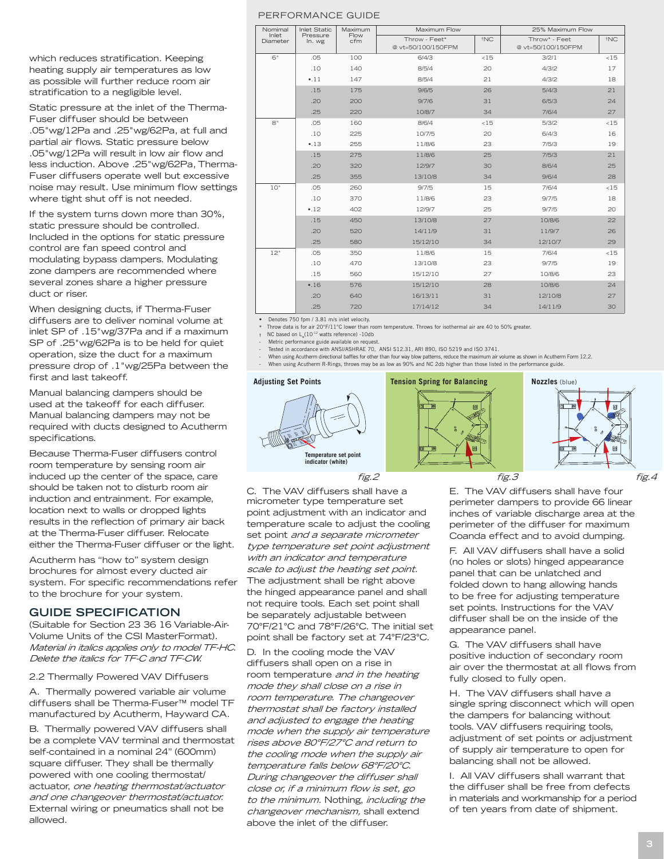which reduces stratification. Keeping heating supply air temperatures as low as possible will further reduce room air stratification to a negligible level.

Static pressure at the inlet of the Therma-Fuser diffuser should be between .05"wg/12Pa and .25"wg/62Pa, at full and partial air flows. Static pressure below .05"wg/12Pa will result in low air flow and less induction. Above .25"wg/62Pa, Therma-Fuser diffusers operate well but excessive noise may result. Use minimum flow settings where tight shut off is not needed.

If the system turns down more than 30%, static pressure should be controlled. Included in the options for static pressure control are fan speed control and modulating bypass dampers. Modulating zone dampers are recommended where several zones share a higher pressure duct or riser.

When designing ducts, if Therma-Fuser diffusers are to deliver nominal volume at inlet SP of .15"wg/37Pa and if a maximum SP of .25"wg/62Pa is to be held for quiet operation, size the duct for a maximum pressure drop of .1"wg/25Pa between the first and last takeoff.

Manual balancing dampers should be used at the takeoff for each diffuser. Manual balancing dampers may not be required with ducts designed to Acutherm specifications.

Because Therma-Fuser diffusers control room temperature by sensing room air induced up the center of the space, care should be taken not to disturb room air induction and entrainment. For example, location next to walls or dropped lights results in the reflection of primary air back at the Therma-Fuser diffuser. Relocate either the Therma-Fuser diffuser or the light.

Acutherm has "how to" system design brochures for almost every ducted air system. For specific recommendations refer to the brochure for your system.

#### **GUIDE SPECIFICATION**

(Suitable for Section 23 36 16 Variable-Air-Volume Units of the CSI MasterFormat). Material in italics applies only to model TF-HC. Delete the italics for TF-C and TF-CW.

#### 2.2 Thermally Powered VAV Diffusers

A. Thermally powered variable air volume diffusers shall be Therma-Fuser™ model TF manufactured by Acutherm, Hayward CA.

B. Thermally powered VAV diffusers shall be a complete VAV terminal and thermostat self-contained in a nominal 24" (600mm) square diffuser. They shall be thermally powered with one cooling thermostat/ actuator, one heating thermostat/actuator and one changeover thermostat/actuator. External wiring or pneumatics shall not be allowed.

| Nomimal<br>Inlet<br>Diameter | <b>Inlet Static</b><br>Maximum<br>Flow<br>Pressure<br>cfm<br>In. wg | Maximum Flow |                    | 25% Maximum Flow |                    |                 |
|------------------------------|---------------------------------------------------------------------|--------------|--------------------|------------------|--------------------|-----------------|
|                              |                                                                     |              | Throw - Feet*      | <sup>t</sup> NC  | Throw* - Feet      | <sup>†</sup> NC |
|                              |                                                                     |              | @ vt=50/100/150FPM |                  | @ vt=50/100/150FPM |                 |
| 6"                           | .05                                                                 | 100          | 6/4/3              | <15              | 3/2/1              | <15             |
|                              | .10                                                                 | 140          | 8/5/4              | 20               | 4/3/2              | 17              |
|                              | $-.11$                                                              | 147          | 8/5/4              | 21               | 4/3/2              | 18              |
|                              | .15                                                                 | 175          | 9/6/5              | 26               | 5/4/3              | 21              |
|                              | .20                                                                 | 200          | 9/7/6              | 31               | 6/5/3              | 24              |
|                              | .25                                                                 | 220          | 10/8/7             | 34               | 7/6/4              | 27              |
| 8"                           | .05                                                                 | 160          | 8/6/4              | <15              | 5/3/2              | <15             |
|                              | .10                                                                 | 225          | 10/7/5             | 20               | 6/4/3              | 16              |
|                              | •.13                                                                | 255          | 11/8/6             | 23               | 7/5/3              | 19              |
|                              | .15                                                                 | 275          | 11/8/6             | 25               | 7/5/3              | 21              |
|                              | .20                                                                 | 320          | 12/9/7             | 30               | 8/6/4              | 25              |
|                              | .25                                                                 | 355          | 13/10/8            | 34               | 9/6/4              | 28              |
| 10"                          | .05                                                                 | 260          | 9/7/5              | 15               | 7/6/4              | <15             |
|                              | .10                                                                 | 370          | 11/8/6             | 23               | 9/7/5              | 18              |
|                              | .12                                                                 | 402          | 12/9/7             | 25               | 9/7/5              | 20              |
|                              | .15                                                                 | 450          | 13/10/8            | 27               | 10/8/6             | 22              |
|                              | .20                                                                 | 520          | 14/11/9            | 31               | 11/9/7             | 26              |
|                              | .25                                                                 | 580          | 15/12/10           | 34               | 12/10/7            | 29              |
| 12"                          | .05                                                                 | 350          | 11/8/6             | 15               | 7/6/4              | <15             |
|                              | .10                                                                 | 470          | 13/10/8            | 23               | 9/7/5              | 19              |
|                              | .15                                                                 | 560          | 15/12/10           | 27               | 10/8/6             | 23              |
|                              | •.16                                                                | 576          | 15/12/10           | 28               | 10/8/6             | 24              |
|                              | .20                                                                 | 640          | 16/13/11           | 31               | 12/10/8            | 27              |
|                              | .25                                                                 | 720          | 17/14/12           | 34               | 14/11/9            | 30              |

• Denotes 750 fpm / 3.81 m/s inlet velocity.

**\*** Throw data is for air 20°F/11°C lower than room temperature. Throws for isothermal air are 40 to 50% greater.

NC based on  $L_w(10^{-12}$  watts reference) -10db

Metric performance guide available on request

Tested in accordance with ANSI/ASHRAE 70, ANSI S12.31, ARI 890, ISO 5219 and ISO 3741.

- When using Acutherm directional baffles for other than four way blow patterns, reduce the maximum air volume as shown in Acutherm Form 12.2.

- When using Acutherm R-Rings, throws may be as low as 90% and NC 2db higher than those listed in the performance guide.



C. The VAV diffusers shall have a micrometer type temperature set point adjustment with an indicator and temperature scale to adjust the cooling set point and a separate micrometer type temperature set point adjustment with an indicator and temperature scale to adjust the heating set point. The adjustment shall be right above the hinged appearance panel and shall not require tools. Each set point shall be separately adjustable between 70°F/21°C and 78°F/26°C. The initial set point shall be factory set at 74°F/23°C.

D. In the cooling mode the VAV diffusers shall open on a rise in room temperature and in the heating mode they shall close on a rise in room temperature. The changeover thermostat shall be factory installed and adjusted to engage the heating mode when the supply air temperature rises above 80°F/27°C and return to the cooling mode when the supply air temperature falls below 68°F/20°C. During changeover the diffuser shall close or, if a minimum flow is set, go to the minimum. Nothing, including the changeover mechanism, shall extend above the inlet of the diffuser.

E. The VAV diffusers shall have four perimeter dampers to provide 66 linear inches of variable discharge area at the perimeter of the diffuser for maximum Coanda effect and to avoid dumping.

F. All VAV diffusers shall have a solid (no holes or slots) hinged appearance panel that can be unlatched and folded down to hang allowing hands to be free for adjusting temperature set points. Instructions for the VAV diffuser shall be on the inside of the appearance panel.

G. The VAV diffusers shall have positive induction of secondary room air over the thermostat at all flows from fully closed to fully open.

H. The VAV diffusers shall have a single spring disconnect which will open the dampers for balancing without tools. VAV diffusers requiring tools, adjustment of set points or adjustment of supply air temperature to open for balancing shall not be allowed.

I. All VAV diffusers shall warrant that the diffuser shall be free from defects in materials and workmanship for a period of ten years from date of shipment.